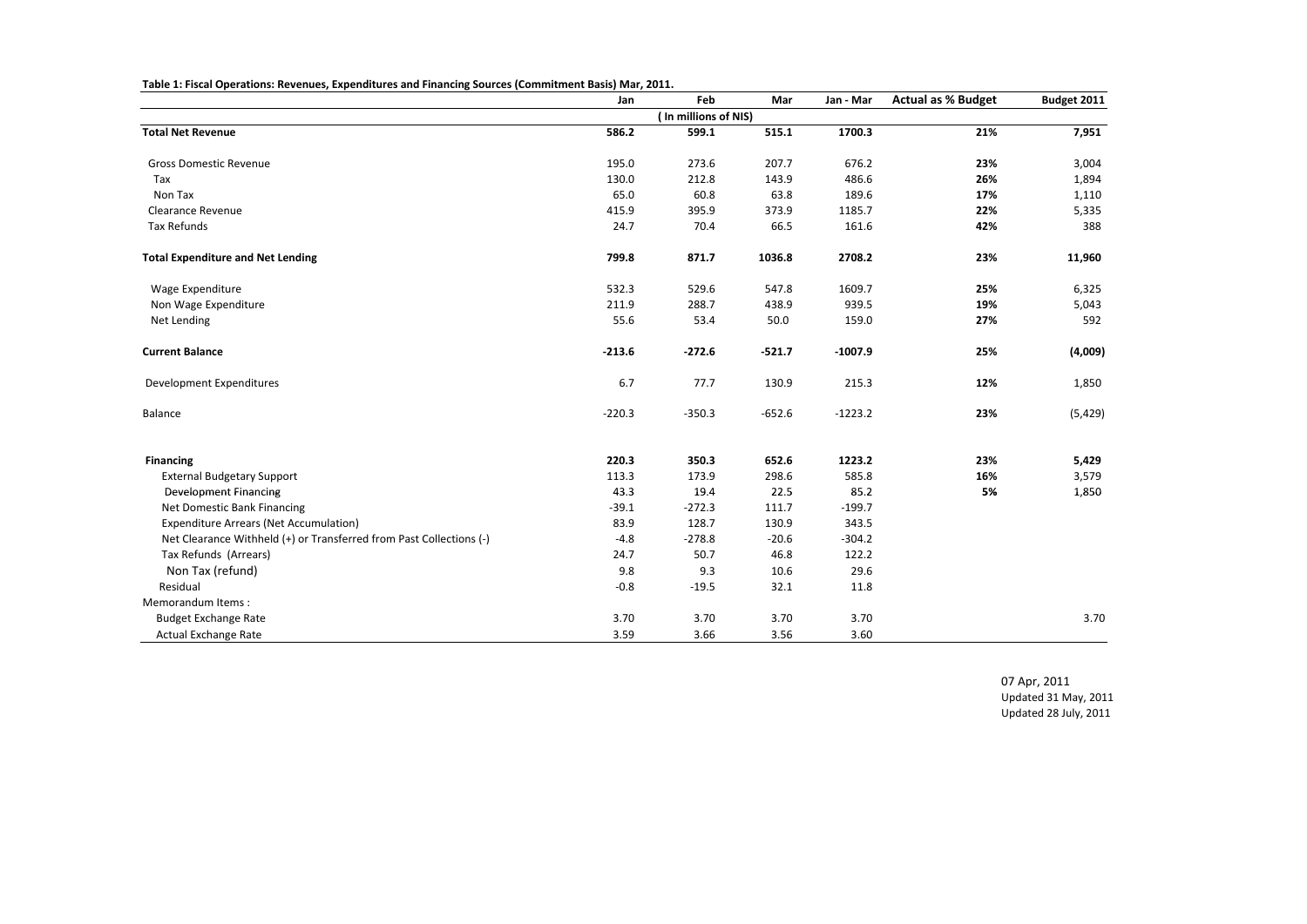|                                                                     | Jan      | Feb                  | Mar      | Jan - Mar | <b>Actual as % Budget</b> | Budget 2011 |
|---------------------------------------------------------------------|----------|----------------------|----------|-----------|---------------------------|-------------|
|                                                                     |          | (In millions of NIS) |          |           |                           |             |
| <b>Total Net Revenue</b>                                            | 586.2    | 599.1                | 515.1    | 1700.3    | 21%                       | 7,951       |
| <b>Gross Domestic Revenue</b>                                       | 195.0    | 273.6                | 207.7    | 676.2     | 23%                       | 3,004       |
| Tax                                                                 | 130.0    | 212.8                | 143.9    | 486.6     | 26%                       | 1,894       |
| Non Tax                                                             | 65.0     | 60.8                 | 63.8     | 189.6     | 17%                       | 1,110       |
| <b>Clearance Revenue</b>                                            | 415.9    | 395.9                | 373.9    | 1185.7    | 22%                       | 5,335       |
| Tax Refunds                                                         | 24.7     | 70.4                 | 66.5     | 161.6     | 42%                       | 388         |
| <b>Total Expenditure and Net Lending</b>                            | 799.8    | 871.7                | 1036.8   | 2708.2    | 23%                       | 11,960      |
| Wage Expenditure                                                    | 532.3    | 529.6                | 547.8    | 1609.7    | 25%                       | 6,325       |
| Non Wage Expenditure                                                | 211.9    | 288.7                | 438.9    | 939.5     | 19%                       | 5,043       |
| Net Lending                                                         | 55.6     | 53.4                 | 50.0     | 159.0     | 27%                       | 592         |
| <b>Current Balance</b>                                              | $-213.6$ | $-272.6$             | $-521.7$ | $-1007.9$ | 25%                       | (4,009)     |
| Development Expenditures                                            | 6.7      | 77.7                 | 130.9    | 215.3     | 12%                       | 1,850       |
| Balance                                                             | $-220.3$ | $-350.3$             | $-652.6$ | $-1223.2$ | 23%                       | (5,429)     |
| <b>Financing</b>                                                    | 220.3    | 350.3                | 652.6    | 1223.2    | 23%                       | 5,429       |
| <b>External Budgetary Support</b>                                   | 113.3    | 173.9                | 298.6    | 585.8     | 16%                       | 3,579       |
| <b>Development Financing</b>                                        | 43.3     | 19.4                 | 22.5     | 85.2      | 5%                        | 1,850       |
| Net Domestic Bank Financing                                         | $-39.1$  | $-272.3$             | 111.7    | $-199.7$  |                           |             |
| <b>Expenditure Arrears (Net Accumulation)</b>                       | 83.9     | 128.7                | 130.9    | 343.5     |                           |             |
| Net Clearance Withheld (+) or Transferred from Past Collections (-) | $-4.8$   | $-278.8$             | $-20.6$  | $-304.2$  |                           |             |
| Tax Refunds (Arrears)                                               | 24.7     | 50.7                 | 46.8     | 122.2     |                           |             |
| Non Tax (refund)                                                    | 9.8      | 9.3                  | 10.6     | 29.6      |                           |             |
| Residual                                                            | $-0.8$   | $-19.5$              | 32.1     | 11.8      |                           |             |
| Memorandum Items:                                                   |          |                      |          |           |                           |             |
| <b>Budget Exchange Rate</b>                                         | 3.70     | 3.70                 | 3.70     | 3.70      |                           | 3.70        |
| Actual Exchange Rate                                                | 3.59     | 3.66                 | 3.56     | 3.60      |                           |             |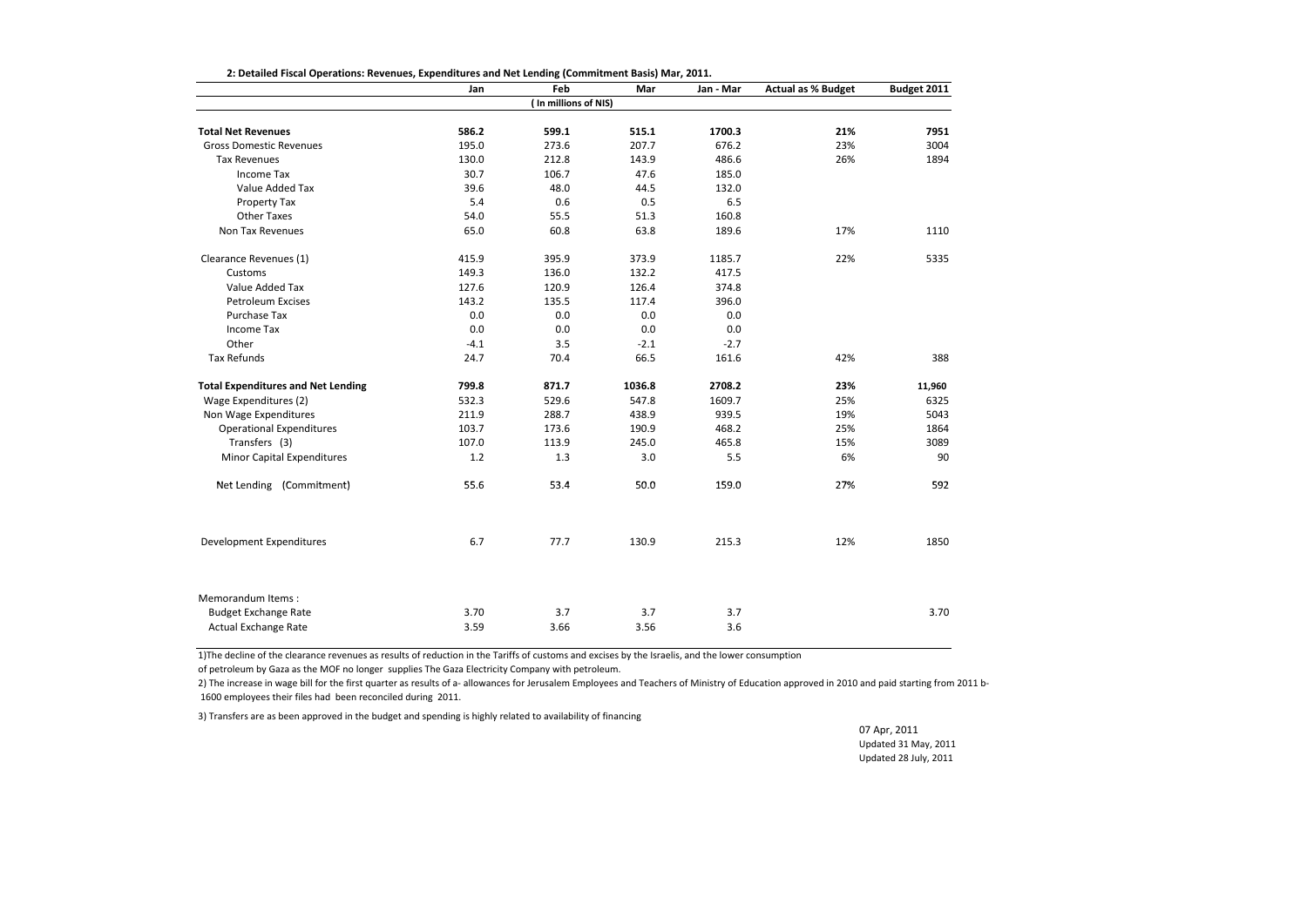|                                           | Jan    | Feb                  | Mar    | Jan - Mar | <b>Actual as % Budget</b> | Budget 2011 |
|-------------------------------------------|--------|----------------------|--------|-----------|---------------------------|-------------|
|                                           |        | (In millions of NIS) |        |           |                           |             |
| <b>Total Net Revenues</b>                 | 586.2  | 599.1                | 515.1  | 1700.3    | 21%                       | 7951        |
| <b>Gross Domestic Revenues</b>            | 195.0  | 273.6                | 207.7  | 676.2     | 23%                       | 3004        |
| <b>Tax Revenues</b>                       | 130.0  | 212.8                | 143.9  | 486.6     | 26%                       | 1894        |
| <b>Income Tax</b>                         | 30.7   | 106.7                | 47.6   | 185.0     |                           |             |
| Value Added Tax                           | 39.6   | 48.0                 | 44.5   | 132.0     |                           |             |
| Property Tax                              | 5.4    | 0.6                  | 0.5    | 6.5       |                           |             |
| <b>Other Taxes</b>                        | 54.0   | 55.5                 | 51.3   | 160.8     |                           |             |
| Non Tax Revenues                          | 65.0   | 60.8                 | 63.8   | 189.6     | 17%                       | 1110        |
| Clearance Revenues (1)                    | 415.9  | 395.9                | 373.9  | 1185.7    | 22%                       | 5335        |
| Customs                                   | 149.3  | 136.0                | 132.2  | 417.5     |                           |             |
| Value Added Tax                           | 127.6  | 120.9                | 126.4  | 374.8     |                           |             |
| <b>Petroleum Excises</b>                  | 143.2  | 135.5                | 117.4  | 396.0     |                           |             |
| Purchase Tax                              | 0.0    | 0.0                  | 0.0    | 0.0       |                           |             |
| Income Tax                                | 0.0    | 0.0                  | 0.0    | 0.0       |                           |             |
| Other                                     | $-4.1$ | 3.5                  | $-2.1$ | $-2.7$    |                           |             |
| <b>Tax Refunds</b>                        | 24.7   | 70.4                 | 66.5   | 161.6     | 42%                       | 388         |
| <b>Total Expenditures and Net Lending</b> | 799.8  | 871.7                | 1036.8 | 2708.2    | 23%                       | 11,960      |
| Wage Expenditures (2)                     | 532.3  | 529.6                | 547.8  | 1609.7    | 25%                       | 6325        |
| Non Wage Expenditures                     | 211.9  | 288.7                | 438.9  | 939.5     | 19%                       | 5043        |
| <b>Operational Expenditures</b>           | 103.7  | 173.6                | 190.9  | 468.2     | 25%                       | 1864        |
| Transfers (3)                             | 107.0  | 113.9                | 245.0  | 465.8     | 15%                       | 3089        |
| <b>Minor Capital Expenditures</b>         | 1.2    | 1.3                  | 3.0    | 5.5       | 6%                        | 90          |
| Net Lending (Commitment)                  | 55.6   | 53.4                 | 50.0   | 159.0     | 27%                       | 592         |
| Development Expenditures                  | 6.7    | 77.7                 | 130.9  | 215.3     | 12%                       | 1850        |
| Memorandum Items:                         |        |                      |        |           |                           |             |
| <b>Budget Exchange Rate</b>               | 3.70   | 3.7                  | 3.7    | 3.7       |                           | 3.70        |
| Actual Exchange Rate                      | 3.59   | 3.66                 | 3.56   | 3.6       |                           |             |

**2: Detailed Fiscal Operations: Revenues, Expenditures and Net Lending (Commitment Basis) Mar, 2011.**

1)The decline of the clearance revenues as results of reduction in the Tariffs of customs and excises by the Israelis, and the lower consumption

of petroleum by Gaza as the MOF no longer supplies The Gaza Electricity Company with petroleum.

2) The increase in wage bill for the first quarter as results of a-allowances for Jerusalem Employees and Teachers of Ministry of Education approved in 2010 and paid starting from 2011 b-1600 employees their files had been reconciled during 2011.

3) Transfers are as been approved in the budget and spending is highly related to availability of financing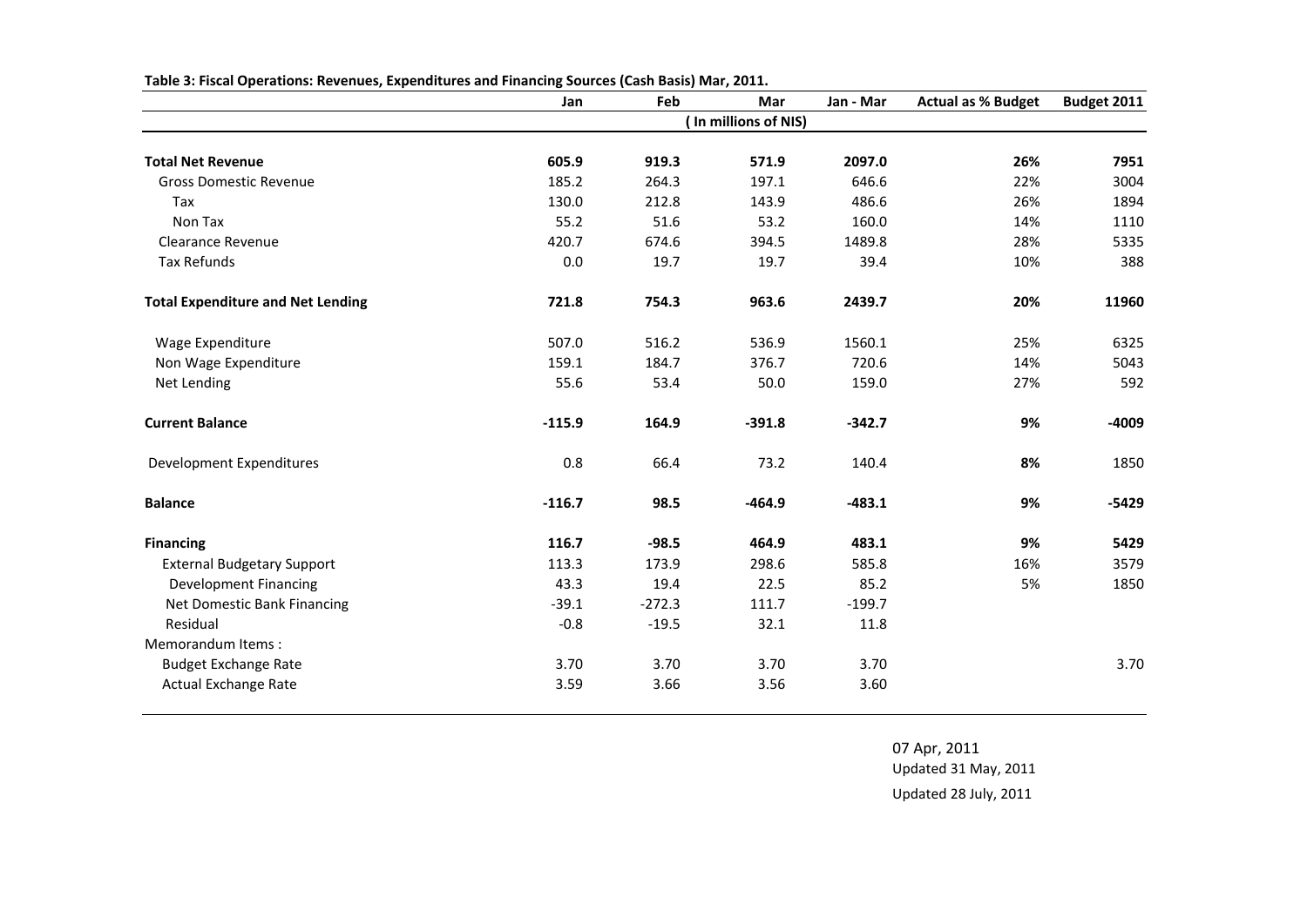| Table 3: Fiscal Operations: Revenues, Expenditures and Financing Sources (Cash Basis) Mar, 2011. |  |  |  |  |
|--------------------------------------------------------------------------------------------------|--|--|--|--|
|                                                                                                  |  |  |  |  |

|                                          | Jan      | Feb      | Mar                  | Jan - Mar | <b>Actual as % Budget</b> | Budget 2011 |
|------------------------------------------|----------|----------|----------------------|-----------|---------------------------|-------------|
|                                          |          |          | (In millions of NIS) |           |                           |             |
| <b>Total Net Revenue</b>                 | 605.9    | 919.3    | 571.9                | 2097.0    | 26%                       | 7951        |
| <b>Gross Domestic Revenue</b>            | 185.2    | 264.3    | 197.1                | 646.6     | 22%                       | 3004        |
| Tax                                      | 130.0    | 212.8    | 143.9                | 486.6     | 26%                       | 1894        |
| Non Tax                                  | 55.2     | 51.6     | 53.2                 | 160.0     | 14%                       | 1110        |
| Clearance Revenue                        | 420.7    | 674.6    | 394.5                | 1489.8    | 28%                       | 5335        |
| <b>Tax Refunds</b>                       | 0.0      | 19.7     | 19.7                 | 39.4      | 10%                       | 388         |
| <b>Total Expenditure and Net Lending</b> | 721.8    | 754.3    | 963.6                | 2439.7    | 20%                       | 11960       |
| Wage Expenditure                         | 507.0    | 516.2    | 536.9                | 1560.1    | 25%                       | 6325        |
| Non Wage Expenditure                     | 159.1    | 184.7    | 376.7                | 720.6     | 14%                       | 5043        |
| Net Lending                              | 55.6     | 53.4     | 50.0                 | 159.0     | 27%                       | 592         |
| <b>Current Balance</b>                   | $-115.9$ | 164.9    | $-391.8$             | $-342.7$  | 9%                        | -4009       |
| Development Expenditures                 | 0.8      | 66.4     | 73.2                 | 140.4     | 8%                        | 1850        |
| <b>Balance</b>                           | $-116.7$ | 98.5     | $-464.9$             | $-483.1$  | 9%                        | $-5429$     |
| <b>Financing</b>                         | 116.7    | $-98.5$  | 464.9                | 483.1     | 9%                        | 5429        |
| <b>External Budgetary Support</b>        | 113.3    | 173.9    | 298.6                | 585.8     | 16%                       | 3579        |
| <b>Development Financing</b>             | 43.3     | 19.4     | 22.5                 | 85.2      | 5%                        | 1850        |
| Net Domestic Bank Financing              | $-39.1$  | $-272.3$ | 111.7                | $-199.7$  |                           |             |
| Residual                                 | $-0.8$   | $-19.5$  | 32.1                 | 11.8      |                           |             |
| Memorandum Items:                        |          |          |                      |           |                           |             |
| <b>Budget Exchange Rate</b>              | 3.70     | 3.70     | 3.70                 | 3.70      |                           | 3.70        |
| <b>Actual Exchange Rate</b>              | 3.59     | 3.66     | 3.56                 | 3.60      |                           |             |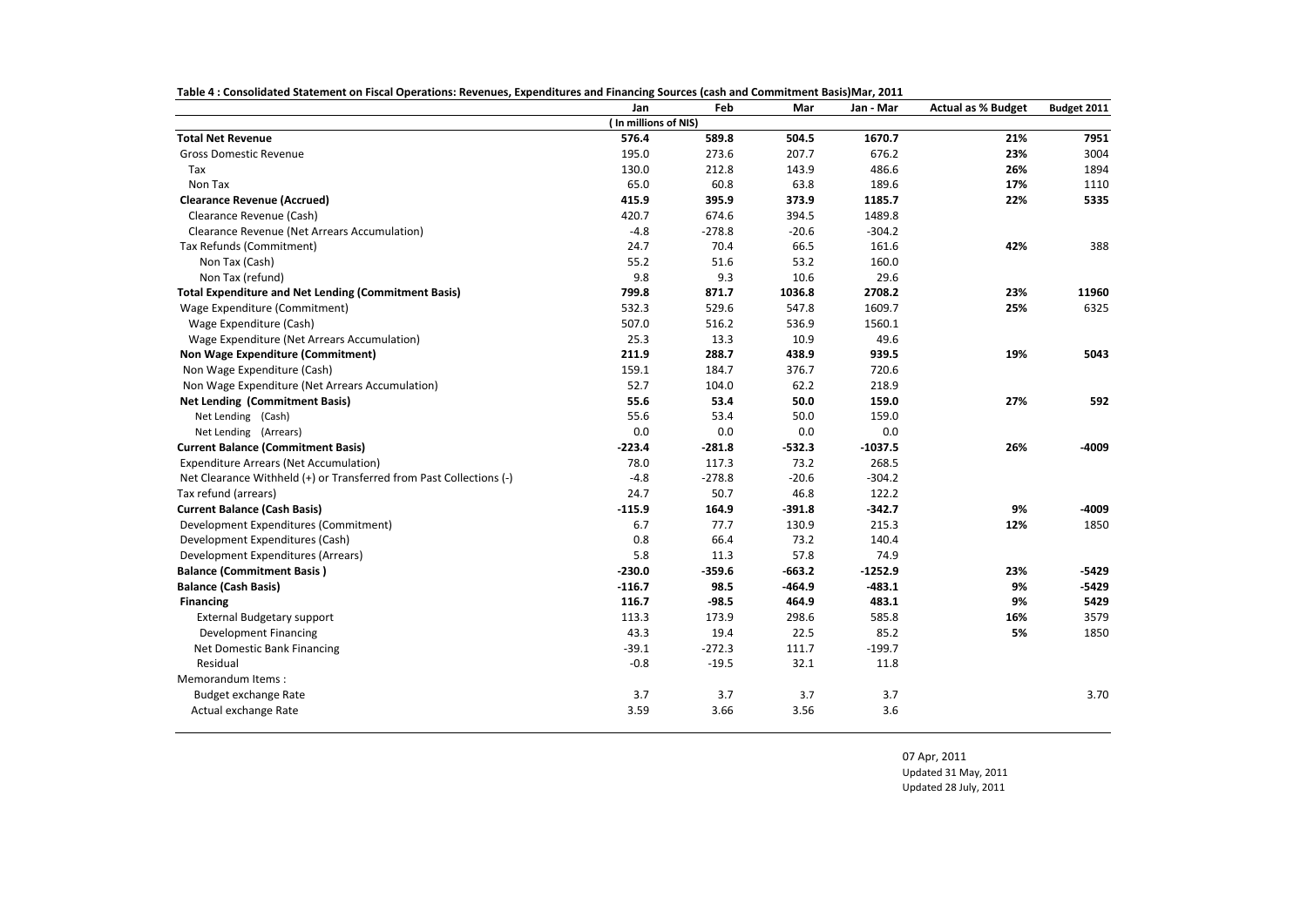| Table 4: Consolidated Statement on Fiscal Operations: Revenues, Expenditures and Financing Sources (cash and Commitment Basis)Mar, 2011 |
|-----------------------------------------------------------------------------------------------------------------------------------------|
|-----------------------------------------------------------------------------------------------------------------------------------------|

|                                                                     | Jan                  | Feb      | Mar      | Jan - Mar | <b>Actual as % Budget</b> | Budget 2011 |
|---------------------------------------------------------------------|----------------------|----------|----------|-----------|---------------------------|-------------|
|                                                                     | (In millions of NIS) |          |          |           |                           |             |
| <b>Total Net Revenue</b>                                            | 576.4                | 589.8    | 504.5    | 1670.7    | 21%                       | 7951        |
| <b>Gross Domestic Revenue</b>                                       | 195.0                | 273.6    | 207.7    | 676.2     | 23%                       | 3004        |
| Tax                                                                 | 130.0                | 212.8    | 143.9    | 486.6     | 26%                       | 1894        |
| Non Tax                                                             | 65.0                 | 60.8     | 63.8     | 189.6     | 17%                       | 1110        |
| <b>Clearance Revenue (Accrued)</b>                                  | 415.9                | 395.9    | 373.9    | 1185.7    | 22%                       | 5335        |
| Clearance Revenue (Cash)                                            | 420.7                | 674.6    | 394.5    | 1489.8    |                           |             |
| Clearance Revenue (Net Arrears Accumulation)                        | $-4.8$               | $-278.8$ | $-20.6$  | $-304.2$  |                           |             |
| Tax Refunds (Commitment)                                            | 24.7                 | 70.4     | 66.5     | 161.6     | 42%                       | 388         |
| Non Tax (Cash)                                                      | 55.2                 | 51.6     | 53.2     | 160.0     |                           |             |
| Non Tax (refund)                                                    | 9.8                  | 9.3      | 10.6     | 29.6      |                           |             |
| <b>Total Expenditure and Net Lending (Commitment Basis)</b>         | 799.8                | 871.7    | 1036.8   | 2708.2    | 23%                       | 11960       |
| Wage Expenditure (Commitment)                                       | 532.3                | 529.6    | 547.8    | 1609.7    | 25%                       | 6325        |
| Wage Expenditure (Cash)                                             | 507.0                | 516.2    | 536.9    | 1560.1    |                           |             |
| Wage Expenditure (Net Arrears Accumulation)                         | 25.3                 | 13.3     | 10.9     | 49.6      |                           |             |
| Non Wage Expenditure (Commitment)                                   | 211.9                | 288.7    | 438.9    | 939.5     | 19%                       | 5043        |
| Non Wage Expenditure (Cash)                                         | 159.1                | 184.7    | 376.7    | 720.6     |                           |             |
| Non Wage Expenditure (Net Arrears Accumulation)                     | 52.7                 | 104.0    | 62.2     | 218.9     |                           |             |
| <b>Net Lending (Commitment Basis)</b>                               | 55.6                 | 53.4     | 50.0     | 159.0     | 27%                       | 592         |
| Net Lending (Cash)                                                  | 55.6                 | 53.4     | 50.0     | 159.0     |                           |             |
| Net Lending (Arrears)                                               | 0.0                  | 0.0      | 0.0      | 0.0       |                           |             |
| <b>Current Balance (Commitment Basis)</b>                           | $-223.4$             | $-281.8$ | $-532.3$ | $-1037.5$ | 26%                       | -4009       |
| <b>Expenditure Arrears (Net Accumulation)</b>                       | 78.0                 | 117.3    | 73.2     | 268.5     |                           |             |
| Net Clearance Withheld (+) or Transferred from Past Collections (-) | $-4.8$               | $-278.8$ | $-20.6$  | $-304.2$  |                           |             |
| Tax refund (arrears)                                                | 24.7                 | 50.7     | 46.8     | 122.2     |                           |             |
| <b>Current Balance (Cash Basis)</b>                                 | $-115.9$             | 164.9    | $-391.8$ | $-342.7$  | 9%                        | -4009       |
| Development Expenditures (Commitment)                               | 6.7                  | 77.7     | 130.9    | 215.3     | 12%                       | 1850        |
| Development Expenditures (Cash)                                     | 0.8                  | 66.4     | 73.2     | 140.4     |                           |             |
| Development Expenditures (Arrears)                                  | 5.8                  | 11.3     | 57.8     | 74.9      |                           |             |
| <b>Balance (Commitment Basis)</b>                                   | $-230.0$             | $-359.6$ | $-663.2$ | $-1252.9$ | 23%                       | $-5429$     |
| <b>Balance (Cash Basis)</b>                                         | $-116.7$             | 98.5     | -464.9   | $-483.1$  | 9%                        | $-5429$     |
| <b>Financing</b>                                                    | 116.7                | $-98.5$  | 464.9    | 483.1     | 9%                        | 5429        |
| <b>External Budgetary support</b>                                   | 113.3                | 173.9    | 298.6    | 585.8     | 16%                       | 3579        |
| <b>Development Financing</b>                                        | 43.3                 | 19.4     | 22.5     | 85.2      | 5%                        | 1850        |
| Net Domestic Bank Financing                                         | $-39.1$              | $-272.3$ | 111.7    | $-199.7$  |                           |             |
| Residual                                                            | $-0.8$               | $-19.5$  | 32.1     | 11.8      |                           |             |
| Memorandum Items:                                                   |                      |          |          |           |                           |             |
| <b>Budget exchange Rate</b>                                         | 3.7                  | 3.7      | 3.7      | 3.7       |                           | 3.70        |
| Actual exchange Rate                                                | 3.59                 | 3.66     | 3.56     | 3.6       |                           |             |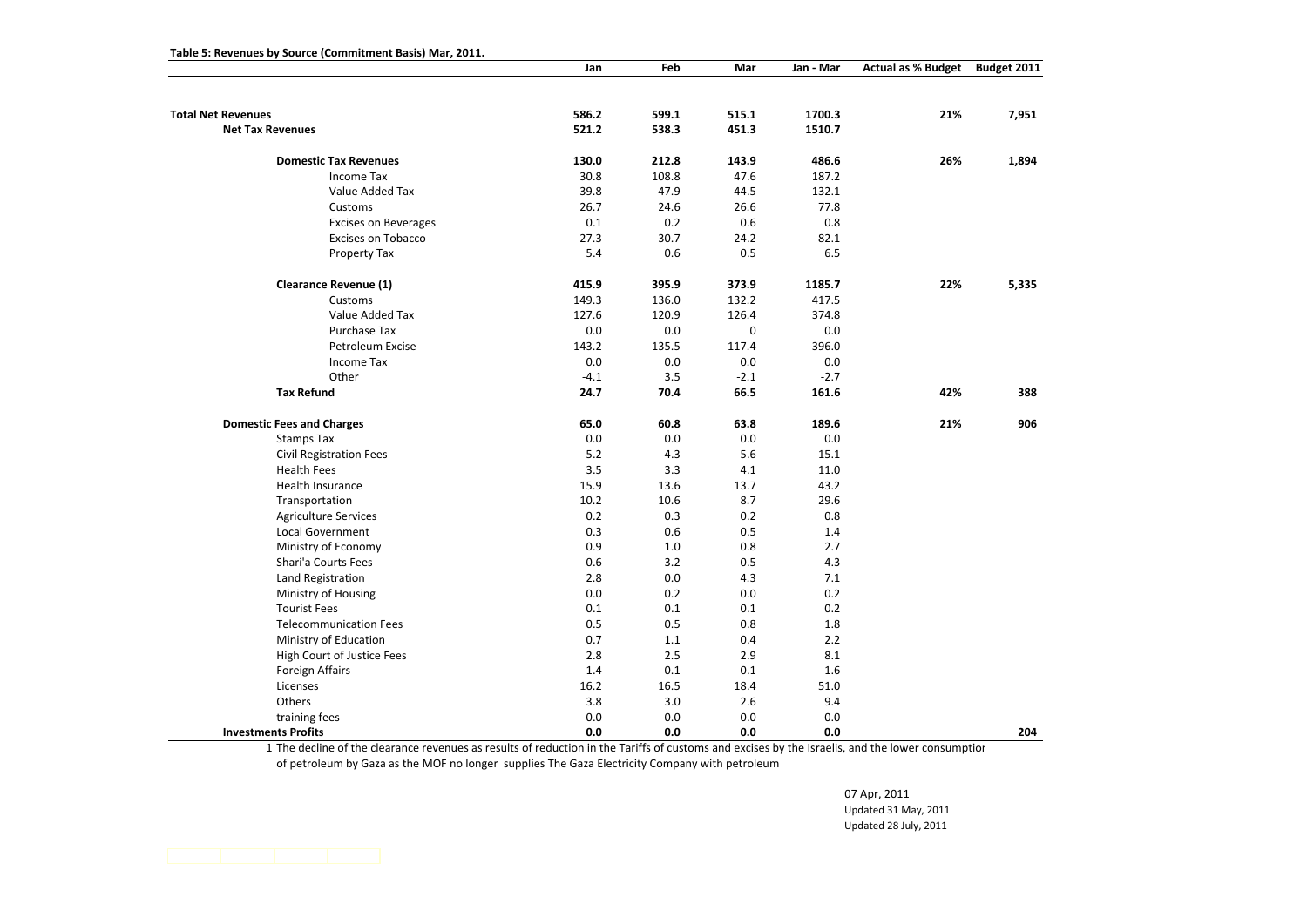|                                  | Jan    | Feb   | Mar         | Jan - Mar | <b>Actual as % Budget</b> | Budget 2011 |
|----------------------------------|--------|-------|-------------|-----------|---------------------------|-------------|
|                                  |        |       |             |           |                           |             |
| <b>Total Net Revenues</b>        | 586.2  | 599.1 | 515.1       | 1700.3    | 21%                       | 7,951       |
| <b>Net Tax Revenues</b>          | 521.2  | 538.3 | 451.3       | 1510.7    |                           |             |
| <b>Domestic Tax Revenues</b>     | 130.0  | 212.8 | 143.9       | 486.6     | 26%                       | 1,894       |
| Income Tax                       | 30.8   | 108.8 | 47.6        | 187.2     |                           |             |
| Value Added Tax                  | 39.8   | 47.9  | 44.5        | 132.1     |                           |             |
| Customs                          | 26.7   | 24.6  | 26.6        | 77.8      |                           |             |
| <b>Excises on Beverages</b>      | 0.1    | 0.2   | 0.6         | 0.8       |                           |             |
| <b>Excises on Tobacco</b>        | 27.3   | 30.7  | 24.2        | 82.1      |                           |             |
| Property Tax                     | 5.4    | 0.6   | 0.5         | 6.5       |                           |             |
| <b>Clearance Revenue (1)</b>     | 415.9  | 395.9 | 373.9       | 1185.7    | 22%                       | 5,335       |
| Customs                          | 149.3  | 136.0 | 132.2       | 417.5     |                           |             |
| Value Added Tax                  | 127.6  | 120.9 | 126.4       | 374.8     |                           |             |
| Purchase Tax                     | 0.0    | 0.0   | $\mathbf 0$ | 0.0       |                           |             |
| Petroleum Excise                 | 143.2  | 135.5 | 117.4       | 396.0     |                           |             |
| <b>Income Tax</b>                | 0.0    | 0.0   | 0.0         | 0.0       |                           |             |
| Other                            | $-4.1$ | 3.5   | $-2.1$      | $-2.7$    |                           |             |
| <b>Tax Refund</b>                | 24.7   | 70.4  | 66.5        | 161.6     | 42%                       | 388         |
| <b>Domestic Fees and Charges</b> | 65.0   | 60.8  | 63.8        | 189.6     | 21%                       | 906         |
| <b>Stamps Tax</b>                | 0.0    | 0.0   | 0.0         | 0.0       |                           |             |
| <b>Civil Registration Fees</b>   | 5.2    | 4.3   | 5.6         | 15.1      |                           |             |
| <b>Health Fees</b>               | 3.5    | 3.3   | 4.1         | 11.0      |                           |             |
| Health Insurance                 | 15.9   | 13.6  | 13.7        | 43.2      |                           |             |
| Transportation                   | 10.2   | 10.6  | 8.7         | 29.6      |                           |             |
| <b>Agriculture Services</b>      | 0.2    | 0.3   | 0.2         | 0.8       |                           |             |
| <b>Local Government</b>          | 0.3    | 0.6   | 0.5         | 1.4       |                           |             |
| Ministry of Economy              | 0.9    | 1.0   | 0.8         | 2.7       |                           |             |
| Shari'a Courts Fees              | 0.6    | 3.2   | 0.5         | 4.3       |                           |             |
| Land Registration                | 2.8    | 0.0   | 4.3         | 7.1       |                           |             |
| Ministry of Housing              | 0.0    | 0.2   | 0.0         | 0.2       |                           |             |
| <b>Tourist Fees</b>              | 0.1    | 0.1   | 0.1         | 0.2       |                           |             |
| <b>Telecommunication Fees</b>    | 0.5    | 0.5   | 0.8         | 1.8       |                           |             |
| Ministry of Education            | 0.7    | 1.1   | 0.4         | 2.2       |                           |             |
| High Court of Justice Fees       | 2.8    | 2.5   | 2.9         | 8.1       |                           |             |
| Foreign Affairs                  | 1.4    | 0.1   | 0.1         | 1.6       |                           |             |
| Licenses                         | 16.2   | 16.5  | 18.4        | 51.0      |                           |             |
| Others                           | 3.8    | 3.0   | 2.6         | 9.4       |                           |             |
| training fees                    | 0.0    | 0.0   | 0.0         | 0.0       |                           |             |
| <b>Investments Profits</b>       | 0.0    | 0.0   | 0.0         | 0.0       |                           | 204         |

**Table 5: Revenues by Source (Commitment Basis) Mar, 2011.**

1 The decline of the clearance revenues as results of reduction in the Tariffs of customs and excises by the Israelis, and the lower consumption of petroleum by Gaza as the MOF no longer supplies The Gaza Electricity Company with petroleum

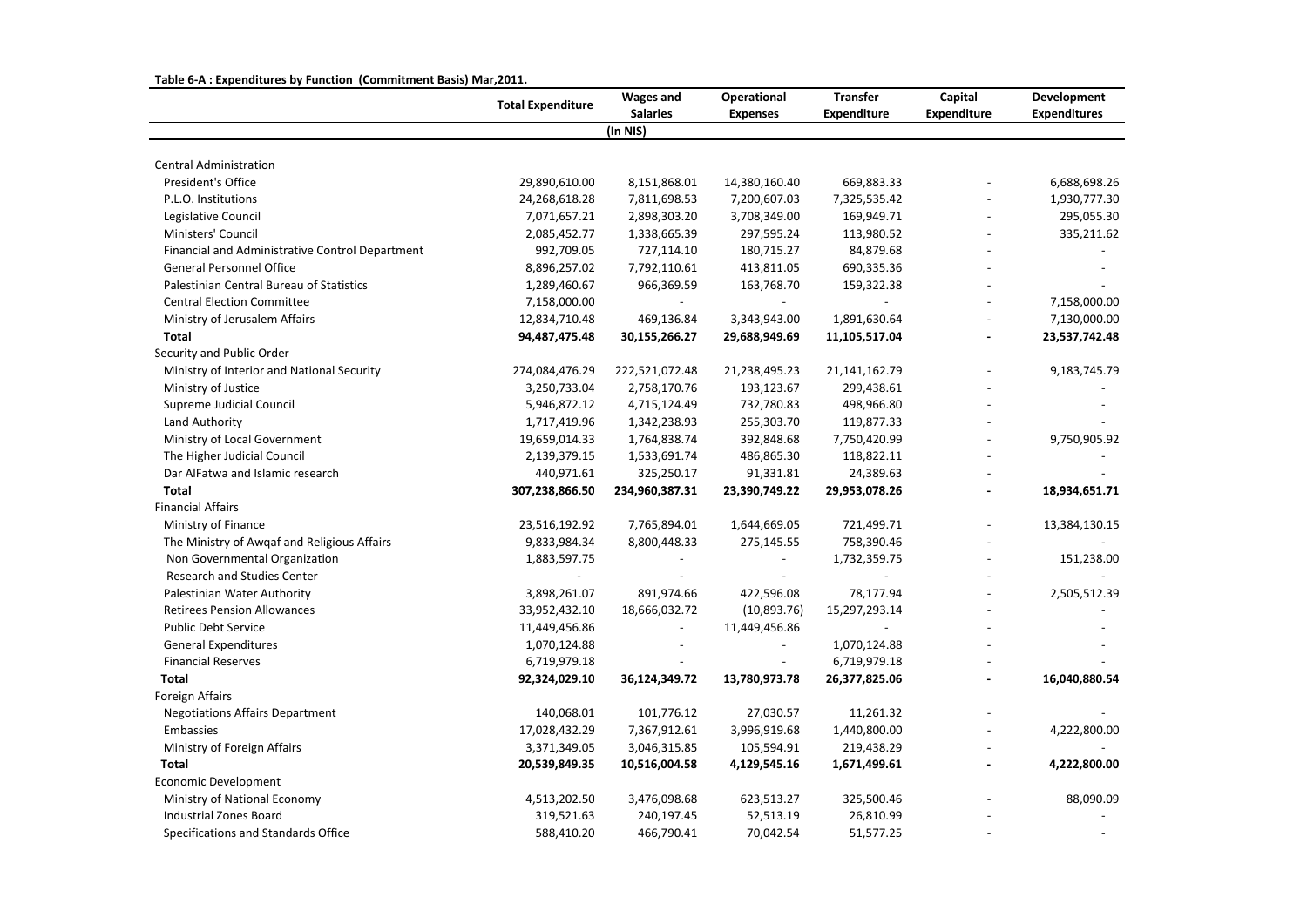|                                                 | <b>Total Expenditure</b> | <b>Wages and</b>         | Operational              | <b>Transfer</b>    | Capital            | Development         |
|-------------------------------------------------|--------------------------|--------------------------|--------------------------|--------------------|--------------------|---------------------|
|                                                 |                          | <b>Salaries</b>          | <b>Expenses</b>          | <b>Expenditure</b> | <b>Expenditure</b> | <b>Expenditures</b> |
|                                                 |                          | (In NIS)                 |                          |                    |                    |                     |
| <b>Central Administration</b>                   |                          |                          |                          |                    |                    |                     |
| President's Office                              | 29,890,610.00            | 8,151,868.01             | 14,380,160.40            | 669,883.33         |                    | 6,688,698.26        |
| P.L.O. Institutions                             | 24,268,618.28            | 7,811,698.53             | 7,200,607.03             | 7,325,535.42       |                    | 1,930,777.30        |
| Legislative Council                             | 7,071,657.21             | 2,898,303.20             | 3,708,349.00             | 169,949.71         |                    | 295,055.30          |
| Ministers' Council                              | 2,085,452.77             | 1,338,665.39             | 297,595.24               | 113,980.52         |                    | 335,211.62          |
| Financial and Administrative Control Department | 992,709.05               | 727,114.10               | 180,715.27               | 84,879.68          |                    |                     |
| General Personnel Office                        | 8,896,257.02             | 7,792,110.61             | 413,811.05               | 690,335.36         |                    |                     |
| Palestinian Central Bureau of Statistics        | 1,289,460.67             | 966,369.59               | 163,768.70               | 159,322.38         |                    |                     |
| <b>Central Election Committee</b>               | 7,158,000.00             | $\overline{\phantom{a}}$ | $\overline{\phantom{0}}$ |                    |                    | 7,158,000.00        |
| Ministry of Jerusalem Affairs                   | 12,834,710.48            | 469,136.84               | 3,343,943.00             | 1,891,630.64       |                    | 7,130,000.00        |
| <b>Total</b>                                    | 94,487,475.48            | 30,155,266.27            | 29,688,949.69            | 11,105,517.04      | $\overline{a}$     | 23,537,742.48       |
| Security and Public Order                       |                          |                          |                          |                    |                    |                     |
| Ministry of Interior and National Security      | 274,084,476.29           | 222,521,072.48           | 21,238,495.23            | 21,141,162.79      |                    | 9,183,745.79        |
| Ministry of Justice                             | 3,250,733.04             | 2,758,170.76             | 193,123.67               | 299,438.61         |                    |                     |
| Supreme Judicial Council                        | 5,946,872.12             | 4,715,124.49             | 732,780.83               | 498,966.80         |                    |                     |
| Land Authority                                  | 1,717,419.96             | 1,342,238.93             | 255,303.70               | 119,877.33         |                    |                     |
| Ministry of Local Government                    | 19,659,014.33            | 1,764,838.74             | 392,848.68               | 7,750,420.99       |                    | 9,750,905.92        |
| The Higher Judicial Council                     | 2,139,379.15             | 1,533,691.74             | 486,865.30               | 118,822.11         |                    |                     |
| Dar AlFatwa and Islamic research                | 440,971.61               | 325,250.17               | 91,331.81                | 24,389.63          |                    |                     |
| <b>Total</b>                                    | 307,238,866.50           | 234,960,387.31           | 23,390,749.22            | 29,953,078.26      | $\overline{a}$     | 18,934,651.71       |
| <b>Financial Affairs</b>                        |                          |                          |                          |                    |                    |                     |
| Ministry of Finance                             | 23,516,192.92            | 7,765,894.01             | 1,644,669.05             | 721,499.71         |                    | 13,384,130.15       |
| The Ministry of Awqaf and Religious Affairs     | 9,833,984.34             | 8,800,448.33             | 275,145.55               | 758,390.46         |                    |                     |
| Non Governmental Organization                   | 1,883,597.75             |                          |                          | 1,732,359.75       |                    | 151,238.00          |
| Research and Studies Center                     |                          |                          |                          |                    |                    |                     |
| Palestinian Water Authority                     | 3,898,261.07             | 891,974.66               | 422,596.08               | 78,177.94          |                    | 2,505,512.39        |
| <b>Retirees Pension Allowances</b>              | 33,952,432.10            | 18,666,032.72            | (10,893.76)              | 15,297,293.14      |                    |                     |
| <b>Public Debt Service</b>                      | 11,449,456.86            | $\overline{a}$           | 11,449,456.86            |                    |                    |                     |
| <b>General Expenditures</b>                     | 1,070,124.88             | $\overline{\phantom{a}}$ | $\overline{\phantom{a}}$ | 1,070,124.88       |                    |                     |
| <b>Financial Reserves</b>                       | 6,719,979.18             |                          | $\overline{a}$           | 6,719,979.18       |                    |                     |
| <b>Total</b>                                    | 92,324,029.10            | 36,124,349.72            | 13,780,973.78            | 26,377,825.06      |                    | 16,040,880.54       |
| Foreign Affairs                                 |                          |                          |                          |                    |                    |                     |
| <b>Negotiations Affairs Department</b>          | 140,068.01               | 101,776.12               | 27,030.57                | 11,261.32          |                    |                     |
| Embassies                                       | 17,028,432.29            | 7,367,912.61             | 3,996,919.68             | 1,440,800.00       | $\overline{a}$     | 4,222,800.00        |
| Ministry of Foreign Affairs                     | 3,371,349.05             | 3,046,315.85             | 105,594.91               | 219,438.29         |                    |                     |
| <b>Total</b>                                    | 20,539,849.35            | 10,516,004.58            | 4,129,545.16             | 1,671,499.61       |                    | 4,222,800.00        |
| Economic Development                            |                          |                          |                          |                    |                    |                     |
| Ministry of National Economy                    | 4,513,202.50             | 3,476,098.68             | 623,513.27               | 325,500.46         |                    | 88,090.09           |
| <b>Industrial Zones Board</b>                   | 319,521.63               | 240,197.45               | 52,513.19                | 26,810.99          |                    |                     |
| Specifications and Standards Office             | 588,410.20               | 466,790.41               | 70,042.54                | 51,577.25          |                    |                     |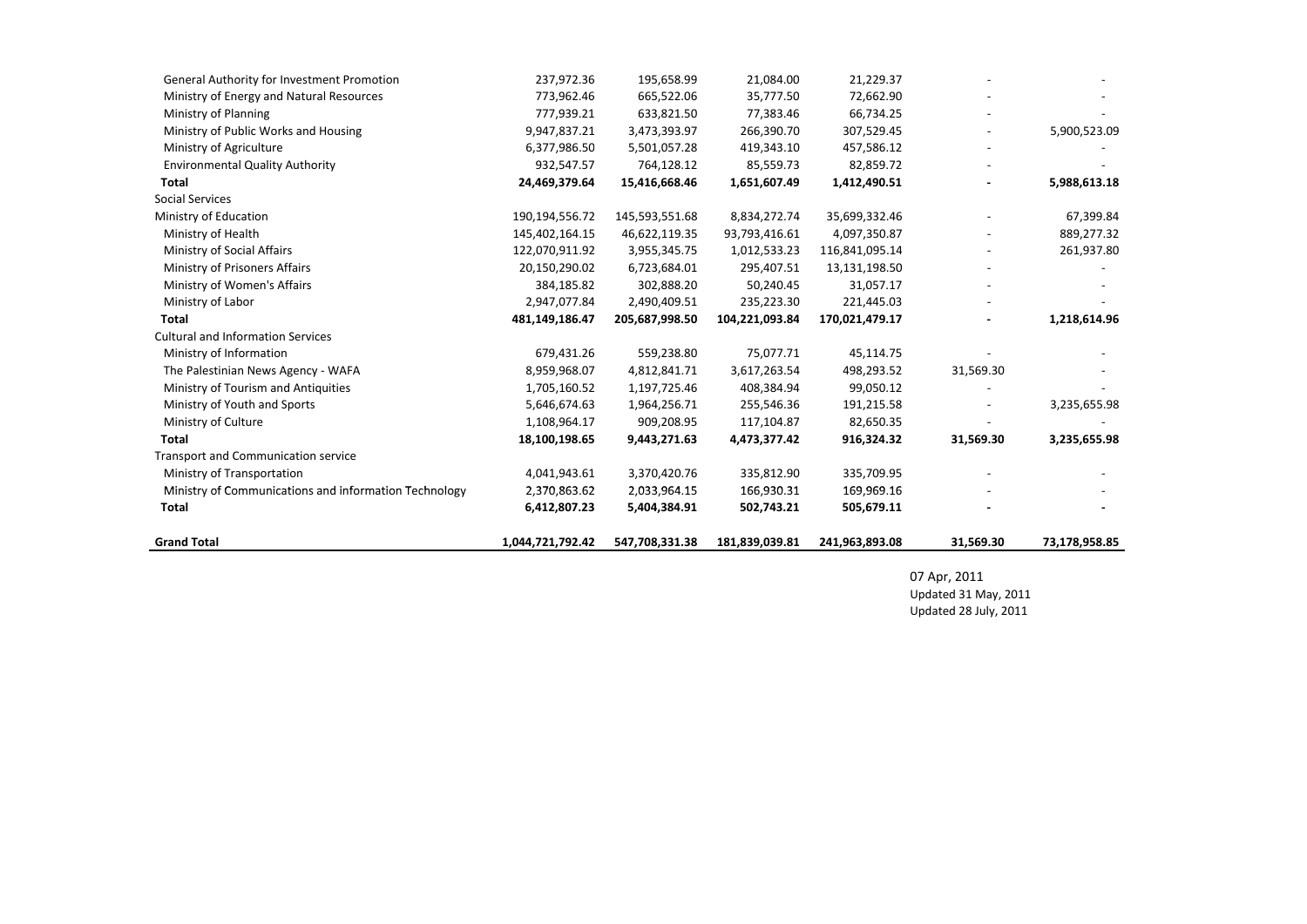| General Authority for Investment Promotion            | 237,972.36       | 195,658.99     | 21,084.00      | 21,229.37      |           |               |
|-------------------------------------------------------|------------------|----------------|----------------|----------------|-----------|---------------|
| Ministry of Energy and Natural Resources              | 773,962.46       | 665,522.06     | 35,777.50      | 72,662.90      |           |               |
| Ministry of Planning                                  | 777,939.21       | 633,821.50     | 77,383.46      | 66,734.25      |           |               |
| Ministry of Public Works and Housing                  | 9,947,837.21     | 3,473,393.97   | 266,390.70     | 307,529.45     |           | 5,900,523.09  |
| Ministry of Agriculture                               | 6,377,986.50     | 5,501,057.28   | 419,343.10     | 457,586.12     |           |               |
| <b>Environmental Quality Authority</b>                | 932,547.57       | 764,128.12     | 85,559.73      | 82,859.72      |           |               |
| <b>Total</b>                                          | 24,469,379.64    | 15,416,668.46  | 1,651,607.49   | 1,412,490.51   |           | 5,988,613.18  |
| <b>Social Services</b>                                |                  |                |                |                |           |               |
| Ministry of Education                                 | 190,194,556.72   | 145,593,551.68 | 8,834,272.74   | 35,699,332.46  |           | 67,399.84     |
| Ministry of Health                                    | 145,402,164.15   | 46,622,119.35  | 93,793,416.61  | 4,097,350.87   |           | 889,277.32    |
| Ministry of Social Affairs                            | 122,070,911.92   | 3,955,345.75   | 1,012,533.23   | 116,841,095.14 |           | 261,937.80    |
| Ministry of Prisoners Affairs                         | 20,150,290.02    | 6,723,684.01   | 295,407.51     | 13,131,198.50  |           |               |
| Ministry of Women's Affairs                           | 384,185.82       | 302,888.20     | 50,240.45      | 31,057.17      |           |               |
| Ministry of Labor                                     | 2,947,077.84     | 2,490,409.51   | 235,223.30     | 221,445.03     |           |               |
| <b>Total</b>                                          | 481,149,186.47   | 205,687,998.50 | 104,221,093.84 | 170,021,479.17 |           | 1,218,614.96  |
| <b>Cultural and Information Services</b>              |                  |                |                |                |           |               |
| Ministry of Information                               | 679,431.26       | 559,238.80     | 75,077.71      | 45,114.75      |           |               |
| The Palestinian News Agency - WAFA                    | 8,959,968.07     | 4,812,841.71   | 3,617,263.54   | 498,293.52     | 31,569.30 |               |
| Ministry of Tourism and Antiquities                   | 1,705,160.52     | 1,197,725.46   | 408,384.94     | 99,050.12      |           |               |
| Ministry of Youth and Sports                          | 5,646,674.63     | 1,964,256.71   | 255,546.36     | 191,215.58     |           | 3,235,655.98  |
| Ministry of Culture                                   | 1,108,964.17     | 909,208.95     | 117,104.87     | 82,650.35      |           |               |
| <b>Total</b>                                          | 18,100,198.65    | 9,443,271.63   | 4,473,377.42   | 916,324.32     | 31,569.30 | 3,235,655.98  |
| Transport and Communication service                   |                  |                |                |                |           |               |
| Ministry of Transportation                            | 4,041,943.61     | 3,370,420.76   | 335,812.90     | 335,709.95     |           |               |
| Ministry of Communications and information Technology | 2,370,863.62     | 2,033,964.15   | 166,930.31     | 169,969.16     |           |               |
| <b>Total</b>                                          | 6,412,807.23     | 5,404,384.91   | 502,743.21     | 505,679.11     |           |               |
| <b>Grand Total</b>                                    | 1,044,721,792.42 | 547,708,331.38 | 181,839,039.81 | 241,963,893.08 | 31,569.30 | 73,178,958.85 |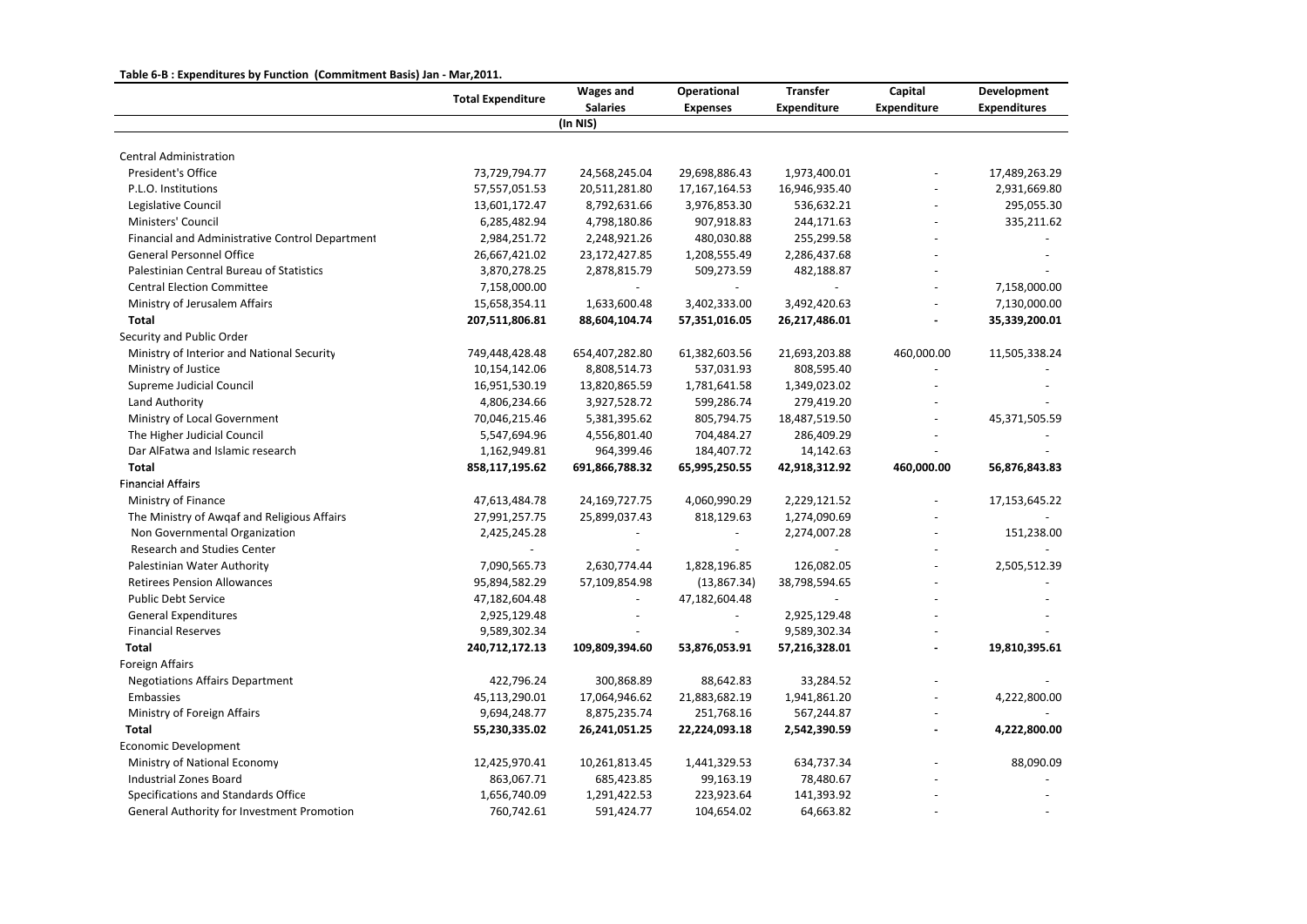## **Table 6‐B : Expenditures by Function (Commitment Basis) Jan ‐ Mar,2011.**

|                                                 | <b>Total Expenditure</b> | <b>Wages and</b><br><b>Salaries</b> | Operational<br><b>Expenses</b> | <b>Transfer</b><br><b>Expenditure</b> | Capital<br><b>Expenditure</b> | Development<br><b>Expenditures</b> |
|-------------------------------------------------|--------------------------|-------------------------------------|--------------------------------|---------------------------------------|-------------------------------|------------------------------------|
|                                                 |                          | (In NIS)                            |                                |                                       |                               |                                    |
|                                                 |                          |                                     |                                |                                       |                               |                                    |
| <b>Central Administration</b>                   |                          |                                     |                                |                                       |                               |                                    |
| President's Office                              | 73,729,794.77            | 24,568,245.04                       | 29,698,886.43                  | 1,973,400.01                          |                               | 17,489,263.29                      |
| P.L.O. Institutions                             | 57,557,051.53            | 20,511,281.80                       | 17,167,164.53                  | 16,946,935.40                         |                               | 2,931,669.80                       |
| Legislative Council                             | 13,601,172.47            | 8,792,631.66                        | 3,976,853.30                   | 536,632.21                            |                               | 295,055.30                         |
| Ministers' Council                              | 6,285,482.94             | 4,798,180.86                        | 907,918.83                     | 244,171.63                            |                               | 335,211.62                         |
| Financial and Administrative Control Department | 2,984,251.72             | 2,248,921.26                        | 480,030.88                     | 255,299.58                            |                               |                                    |
| <b>General Personnel Office</b>                 | 26,667,421.02            | 23,172,427.85                       | 1,208,555.49                   | 2,286,437.68                          |                               |                                    |
| Palestinian Central Bureau of Statistics        | 3,870,278.25             | 2,878,815.79                        | 509,273.59                     | 482,188.87                            |                               |                                    |
| <b>Central Election Committee</b>               | 7,158,000.00             |                                     |                                |                                       |                               | 7,158,000.00                       |
| Ministry of Jerusalem Affairs                   | 15,658,354.11            | 1,633,600.48                        | 3,402,333.00                   | 3,492,420.63                          |                               | 7,130,000.00                       |
| Total                                           | 207,511,806.81           | 88,604,104.74                       | 57,351,016.05                  | 26,217,486.01                         |                               | 35,339,200.01                      |
| Security and Public Order                       |                          |                                     |                                |                                       |                               |                                    |
| Ministry of Interior and National Security      | 749,448,428.48           | 654,407,282.80                      | 61,382,603.56                  | 21,693,203.88                         | 460,000.00                    | 11,505,338.24                      |
| Ministry of Justice                             | 10,154,142.06            | 8,808,514.73                        | 537,031.93                     | 808,595.40                            |                               |                                    |
| Supreme Judicial Council                        | 16,951,530.19            | 13,820,865.59                       | 1,781,641.58                   | 1,349,023.02                          |                               |                                    |
| Land Authority                                  | 4,806,234.66             | 3,927,528.72                        | 599,286.74                     | 279,419.20                            |                               |                                    |
| Ministry of Local Government                    | 70,046,215.46            | 5,381,395.62                        | 805,794.75                     | 18,487,519.50                         |                               | 45,371,505.59                      |
| The Higher Judicial Council                     | 5,547,694.96             | 4,556,801.40                        | 704,484.27                     | 286,409.29                            |                               |                                    |
| Dar AlFatwa and Islamic research                | 1,162,949.81             | 964,399.46                          | 184,407.72                     | 14,142.63                             |                               |                                    |
| <b>Total</b>                                    | 858,117,195.62           | 691,866,788.32                      | 65,995,250.55                  | 42,918,312.92                         | 460,000.00                    | 56,876,843.83                      |
| <b>Financial Affairs</b>                        |                          |                                     |                                |                                       |                               |                                    |
| Ministry of Finance                             | 47,613,484.78            | 24,169,727.75                       | 4,060,990.29                   | 2,229,121.52                          |                               | 17,153,645.22                      |
| The Ministry of Awqaf and Religious Affairs     | 27,991,257.75            | 25,899,037.43                       | 818,129.63                     | 1,274,090.69                          |                               |                                    |
| Non Governmental Organization                   | 2,425,245.28             |                                     | $\overline{\phantom{a}}$       | 2,274,007.28                          |                               | 151,238.00                         |
| <b>Research and Studies Center</b>              |                          |                                     |                                |                                       |                               |                                    |
| Palestinian Water Authority                     | 7,090,565.73             | 2,630,774.44                        | 1,828,196.85                   | 126,082.05                            |                               | 2,505,512.39                       |
| <b>Retirees Pension Allowances</b>              | 95,894,582.29            | 57,109,854.98                       | (13,867.34)                    | 38,798,594.65                         |                               |                                    |
| <b>Public Debt Service</b>                      | 47,182,604.48            |                                     | 47,182,604.48                  |                                       |                               |                                    |
| <b>General Expenditures</b>                     | 2,925,129.48             |                                     | $\blacksquare$                 | 2,925,129.48                          |                               |                                    |
| <b>Financial Reserves</b>                       | 9,589,302.34             |                                     | $\blacksquare$                 | 9,589,302.34                          |                               |                                    |
| Total                                           | 240,712,172.13           | 109,809,394.60                      | 53,876,053.91                  | 57,216,328.01                         | $\overline{a}$                | 19,810,395.61                      |
| Foreign Affairs                                 |                          |                                     |                                |                                       |                               |                                    |
| <b>Negotiations Affairs Department</b>          | 422,796.24               | 300,868.89                          | 88,642.83                      | 33,284.52                             |                               |                                    |
| Embassies                                       | 45,113,290.01            | 17,064,946.62                       | 21,883,682.19                  | 1,941,861.20                          |                               | 4,222,800.00                       |
| Ministry of Foreign Affairs                     | 9,694,248.77             | 8,875,235.74                        | 251,768.16                     | 567,244.87                            | $\blacksquare$                |                                    |
| <b>Total</b>                                    | 55,230,335.02            | 26,241,051.25                       | 22,224,093.18                  | 2,542,390.59                          | ÷,                            | 4,222,800.00                       |
| Economic Development                            |                          |                                     |                                |                                       |                               |                                    |
| Ministry of National Economy                    | 12,425,970.41            | 10,261,813.45                       | 1,441,329.53                   | 634,737.34                            |                               | 88,090.09                          |
| <b>Industrial Zones Board</b>                   | 863,067.71               | 685,423.85                          | 99,163.19                      | 78,480.67                             |                               |                                    |
| Specifications and Standards Office             | 1,656,740.09             | 1,291,422.53                        | 223,923.64                     | 141,393.92                            |                               |                                    |
| General Authority for Investment Promotion      | 760,742.61               | 591,424.77                          | 104,654.02                     | 64,663.82                             |                               |                                    |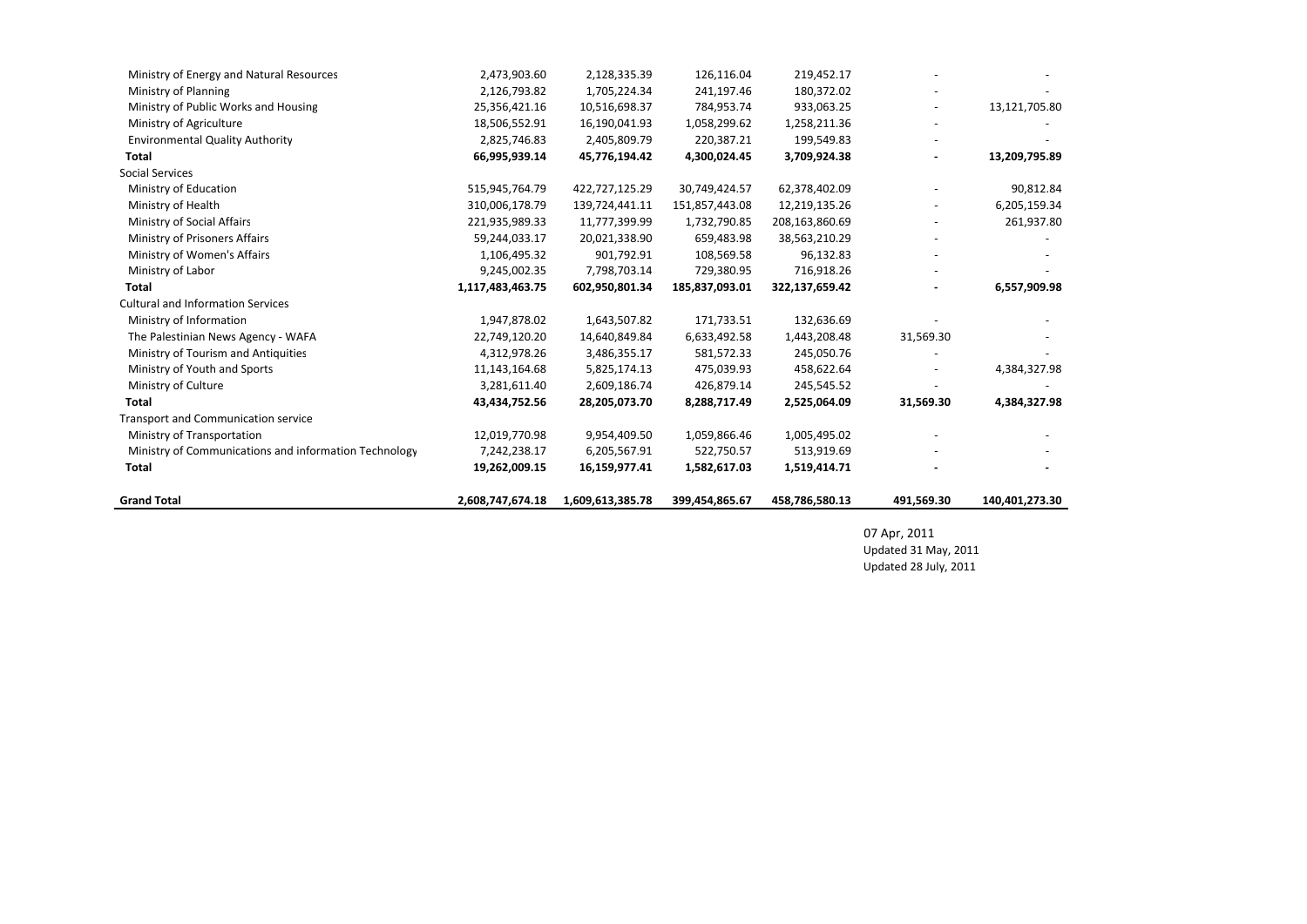| <b>Grand Total</b>                                    | 2,608,747,674.18 | 1,609,613,385.78 | 399,454,865.67 | 458,786,580.13 | 491,569.30 | 140,401,273.30 |
|-------------------------------------------------------|------------------|------------------|----------------|----------------|------------|----------------|
| <b>Total</b>                                          | 19,262,009.15    | 16,159,977.41    | 1,582,617.03   | 1,519,414.71   |            |                |
| Ministry of Communications and information Technology | 7,242,238.17     | 6,205,567.91     | 522,750.57     | 513,919.69     |            |                |
| Ministry of Transportation                            | 12,019,770.98    | 9,954,409.50     | 1,059,866.46   | 1,005,495.02   |            |                |
| Transport and Communication service                   |                  |                  |                |                |            |                |
| Total                                                 | 43,434,752.56    | 28,205,073.70    | 8,288,717.49   | 2,525,064.09   | 31,569.30  | 4,384,327.98   |
| Ministry of Culture                                   | 3,281,611.40     | 2,609,186.74     | 426,879.14     | 245,545.52     |            |                |
| Ministry of Youth and Sports                          | 11,143,164.68    | 5,825,174.13     | 475,039.93     | 458,622.64     |            | 4,384,327.98   |
| Ministry of Tourism and Antiquities                   | 4,312,978.26     | 3,486,355.17     | 581,572.33     | 245,050.76     |            |                |
| The Palestinian News Agency - WAFA                    | 22,749,120.20    | 14,640,849.84    | 6,633,492.58   | 1,443,208.48   | 31,569.30  |                |
| Ministry of Information                               | 1,947,878.02     | 1,643,507.82     | 171,733.51     | 132,636.69     |            |                |
| <b>Cultural and Information Services</b>              |                  |                  |                |                |            |                |
| Total                                                 | 1,117,483,463.75 | 602,950,801.34   | 185,837,093.01 | 322,137,659.42 |            | 6,557,909.98   |
| Ministry of Labor                                     | 9,245,002.35     | 7,798,703.14     | 729,380.95     | 716,918.26     |            |                |
| Ministry of Women's Affairs                           | 1,106,495.32     | 901,792.91       | 108,569.58     | 96,132.83      |            |                |
| Ministry of Prisoners Affairs                         | 59,244,033.17    | 20,021,338.90    | 659,483.98     | 38,563,210.29  |            |                |
| Ministry of Social Affairs                            | 221,935,989.33   | 11,777,399.99    | 1,732,790.85   | 208,163,860.69 |            | 261,937.80     |
| Ministry of Health                                    | 310,006,178.79   | 139,724,441.11   | 151,857,443.08 | 12,219,135.26  |            | 6,205,159.34   |
| Ministry of Education                                 | 515,945,764.79   | 422,727,125.29   | 30,749,424.57  | 62,378,402.09  |            | 90,812.84      |
| <b>Social Services</b>                                |                  |                  |                |                |            |                |
| Total                                                 | 66,995,939.14    | 45,776,194.42    | 4,300,024.45   | 3,709,924.38   |            | 13,209,795.89  |
| <b>Environmental Quality Authority</b>                | 2,825,746.83     | 2,405,809.79     | 220,387.21     | 199,549.83     |            |                |
| Ministry of Agriculture                               | 18,506,552.91    | 16,190,041.93    | 1,058,299.62   | 1,258,211.36   |            |                |
| Ministry of Public Works and Housing                  | 25,356,421.16    | 10,516,698.37    | 784,953.74     | 933,063.25     |            | 13,121,705.80  |
| Ministry of Planning                                  | 2,126,793.82     | 1,705,224.34     | 241,197.46     | 180,372.02     |            |                |
| Ministry of Energy and Natural Resources              | 2,473,903.60     | 2,128,335.39     | 126,116.04     | 219,452.17     |            |                |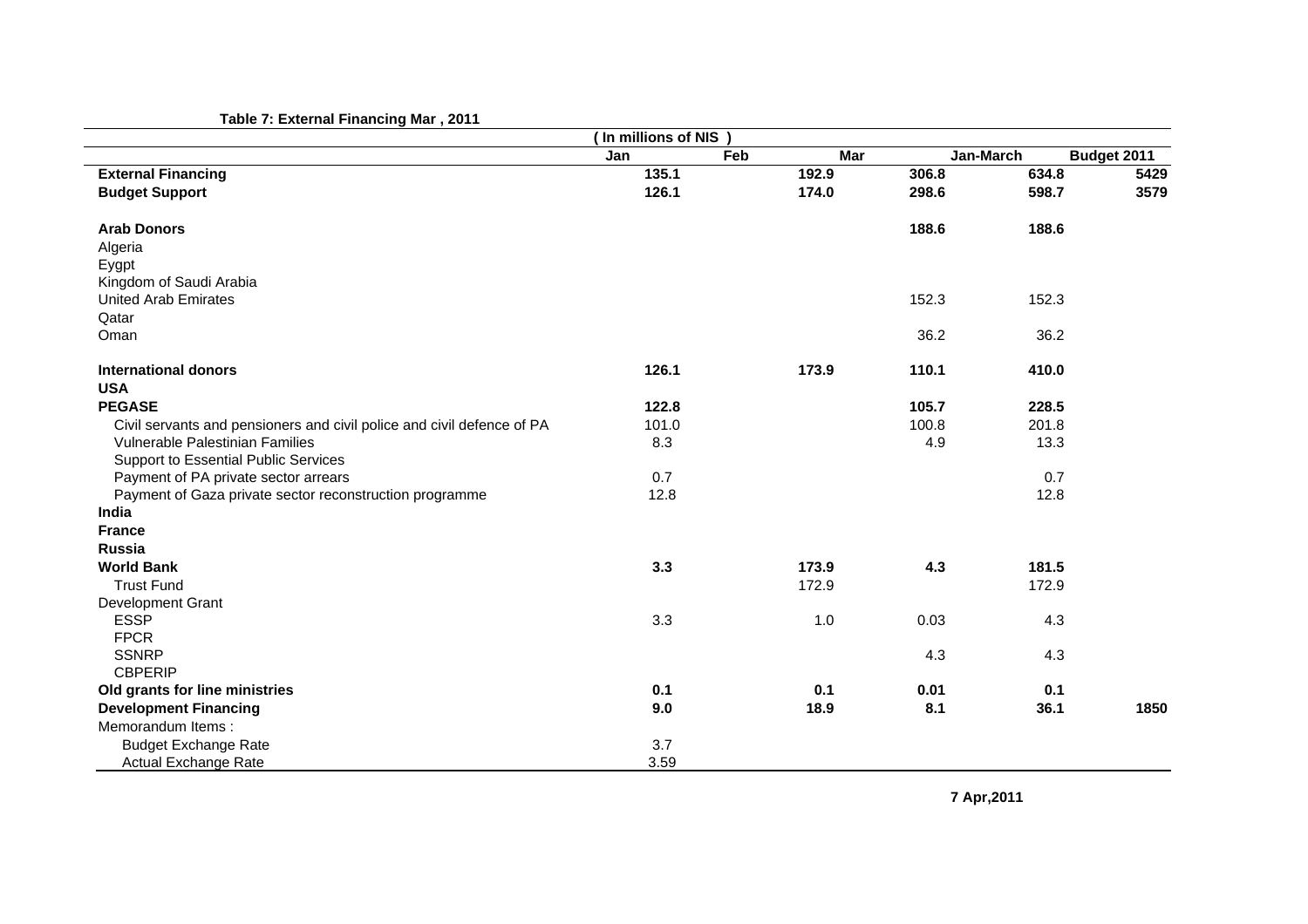|                                                                        | (In millions of NIS |     |            |       |           |             |
|------------------------------------------------------------------------|---------------------|-----|------------|-------|-----------|-------------|
|                                                                        | Jan                 | Feb | <b>Mar</b> |       | Jan-March | Budget 2011 |
| <b>External Financing</b>                                              | 135.1               |     | 192.9      | 306.8 | 634.8     | 5429        |
| <b>Budget Support</b>                                                  | 126.1               |     | 174.0      | 298.6 | 598.7     | 3579        |
| <b>Arab Donors</b>                                                     |                     |     |            | 188.6 | 188.6     |             |
| Algeria                                                                |                     |     |            |       |           |             |
| Eygpt                                                                  |                     |     |            |       |           |             |
| Kingdom of Saudi Arabia                                                |                     |     |            |       |           |             |
| <b>United Arab Emirates</b>                                            |                     |     |            | 152.3 | 152.3     |             |
| Qatar                                                                  |                     |     |            |       |           |             |
| Oman                                                                   |                     |     |            | 36.2  | 36.2      |             |
| <b>International donors</b>                                            | 126.1               |     | 173.9      | 110.1 | 410.0     |             |
| <b>USA</b>                                                             |                     |     |            |       |           |             |
| <b>PEGASE</b>                                                          | 122.8               |     |            | 105.7 | 228.5     |             |
| Civil servants and pensioners and civil police and civil defence of PA | 101.0               |     |            | 100.8 | 201.8     |             |
| Vulnerable Palestinian Families                                        | 8.3                 |     |            | 4.9   | 13.3      |             |
| Support to Essential Public Services                                   |                     |     |            |       |           |             |
| Payment of PA private sector arrears                                   | 0.7                 |     |            |       | 0.7       |             |
| Payment of Gaza private sector reconstruction programme                | 12.8                |     |            |       | 12.8      |             |
| India                                                                  |                     |     |            |       |           |             |
| <b>France</b>                                                          |                     |     |            |       |           |             |
| Russia                                                                 |                     |     |            |       |           |             |
| <b>World Bank</b>                                                      | 3.3                 |     | 173.9      | 4.3   | 181.5     |             |
| <b>Trust Fund</b>                                                      |                     |     | 172.9      |       | 172.9     |             |
| Development Grant                                                      |                     |     |            |       |           |             |
| <b>ESSP</b>                                                            | 3.3                 |     | 1.0        | 0.03  | 4.3       |             |
| <b>FPCR</b>                                                            |                     |     |            |       |           |             |
| <b>SSNRP</b>                                                           |                     |     |            | 4.3   | 4.3       |             |
| <b>CBPERIP</b>                                                         |                     |     |            |       |           |             |
| Old grants for line ministries                                         | 0.1                 |     | 0.1        | 0.01  | 0.1       |             |
| <b>Development Financing</b>                                           | 9.0                 |     | 18.9       | 8.1   | 36.1      | 1850        |
| Memorandum Items:                                                      |                     |     |            |       |           |             |
| <b>Budget Exchange Rate</b>                                            | 3.7                 |     |            |       |           |             |
| Actual Exchange Rate                                                   | 3.59                |     |            |       |           |             |

**7 Apr,2011**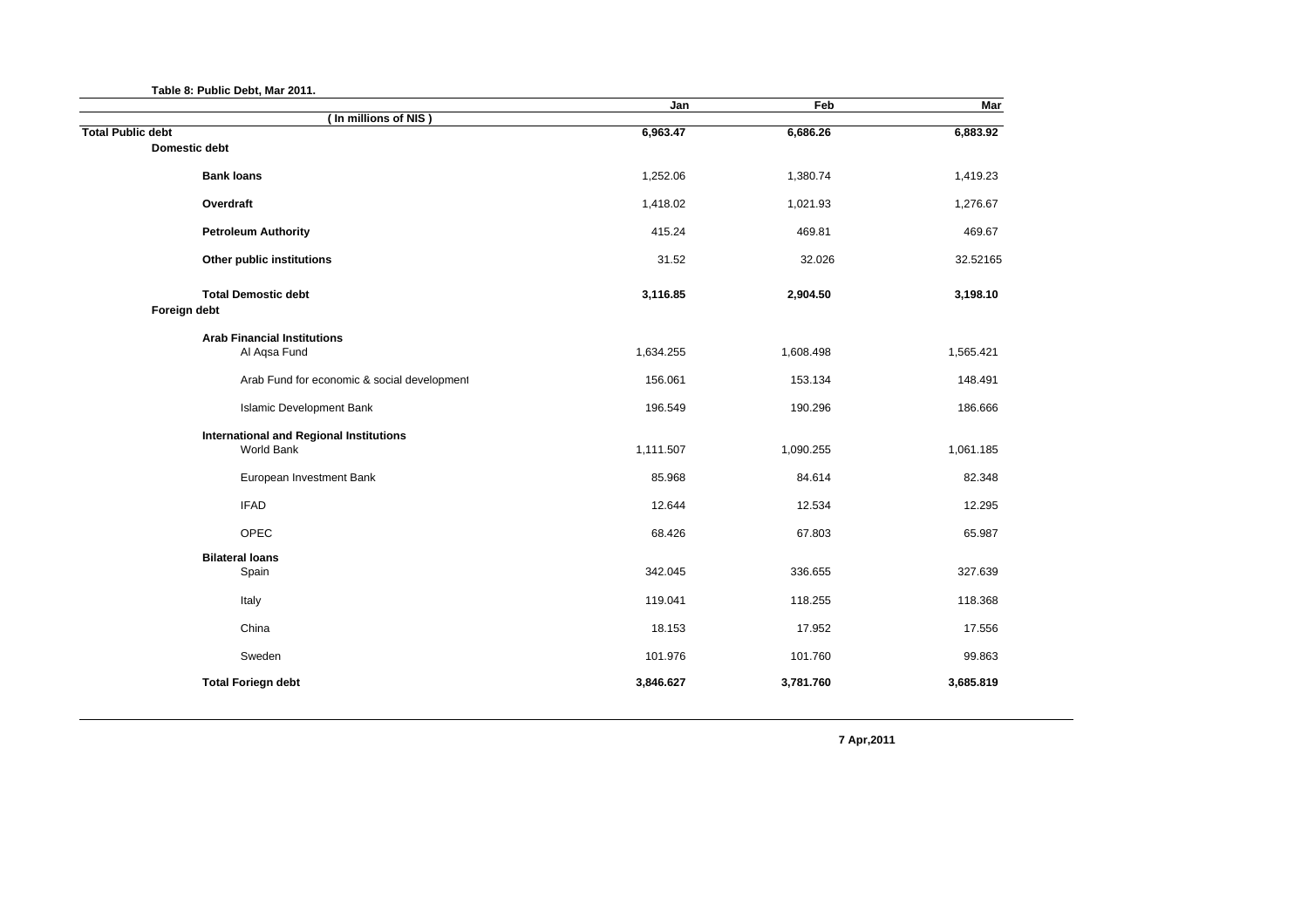|  |  | Table 8: Public Debt, Mar 2011. |  |  |  |
|--|--|---------------------------------|--|--|--|
|--|--|---------------------------------|--|--|--|

| Jan       | Feb                 | Mar                 |
|-----------|---------------------|---------------------|
|           |                     | 6,883.92            |
|           |                     |                     |
| 1,252.06  | 1,380.74            | 1,419.23            |
| 1,418.02  | 1,021.93            | 1,276.67            |
| 415.24    | 469.81              | 469.67              |
| 31.52     | 32.026              | 32.52165            |
| 3,116.85  | 2,904.50            | 3,198.10            |
|           |                     |                     |
| 1,634.255 | 1,608.498           | 1,565.421           |
| 156.061   | 153.134             | 148.491             |
| 196.549   | 190.296             | 186.666             |
| 1,111.507 | 1,090.255           | 1,061.185           |
| 85.968    | 84.614              | 82.348              |
| 12.644    | 12.534              | 12.295              |
| 68.426    | 67.803              | 65.987              |
|           |                     |                     |
|           |                     | 327.639             |
| 119.041   | 118.255             | 118.368             |
| 18.153    | 17.952              | 17.556              |
| 101.976   | 101.760             | 99.863              |
| 3,846.627 | 3,781.760           | 3,685.819           |
|           | 6,963.47<br>342.045 | 6,686.26<br>336.655 |

**7 Apr,2011**